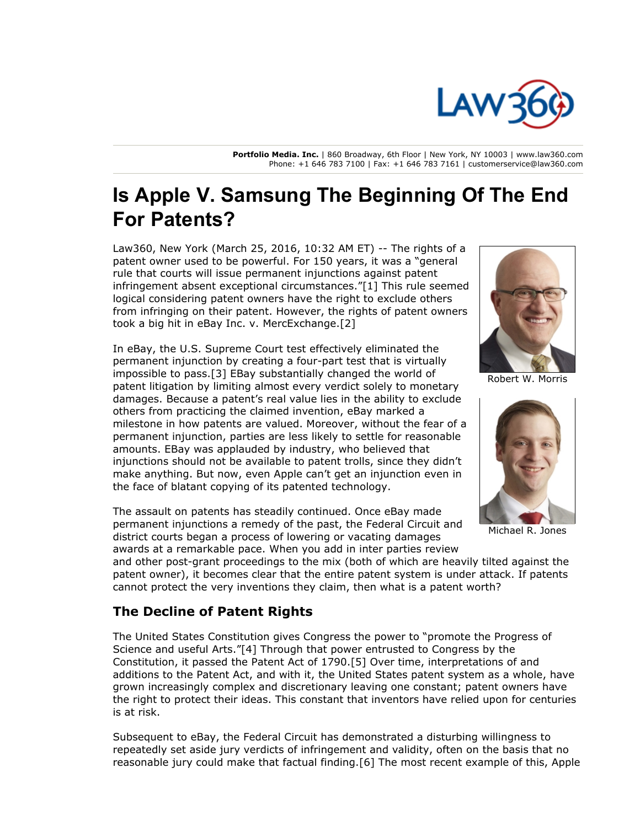

**Portfolio Media. Inc.** | 860 Broadway, 6th Floor | New York, NY 10003 | www.law360.com Phone: +1 646 783 7100 | Fax: +1 646 783 7161 | customerservice@law360.com

## **Is Apple V. Samsung The Beginning Of The End For Patents?**

Law360, New York (March 25, 2016, 10:32 AM ET) -- The rights of a patent owner used to be powerful. For 150 years, it was a "general rule that courts will issue permanent injunctions against patent infringement absent exceptional circumstances."[1] This rule seemed logical considering patent owners have the right to exclude others from infringing on their patent. However, the rights of patent owners took a big hit in eBay Inc. v. MercExchange.[2]

In eBay, the U.S. Supreme Court test effectively eliminated the permanent injunction by creating a four-part test that is virtually impossible to pass.[3] EBay substantially changed the world of patent litigation by limiting almost every verdict solely to monetary damages. Because a patent's real value lies in the ability to exclude others from practicing the claimed invention, eBay marked a milestone in how patents are valued. Moreover, without the fear of a permanent injunction, parties are less likely to settle for reasonable amounts. EBay was applauded by industry, who believed that injunctions should not be available to patent trolls, since they didn't make anything. But now, even Apple can't get an injunction even in the face of blatant copying of its patented technology.

The assault on patents has steadily continued. Once eBay made permanent injunctions a remedy of the past, the Federal Circuit and district courts began a process of lowering or vacating damages awards at a remarkable pace. When you add in inter parties review



Robert W. Morris



Michael R. Jones

and other post-grant proceedings to the mix (both of which are heavily tilted against the patent owner), it becomes clear that the entire patent system is under attack. If patents cannot protect the very inventions they claim, then what is a patent worth?

## **The Decline of Patent Rights**

The United States Constitution gives Congress the power to "promote the Progress of Science and useful Arts."[4] Through that power entrusted to Congress by the Constitution, it passed the Patent Act of 1790.[5] Over time, interpretations of and additions to the Patent Act, and with it, the United States patent system as a whole, have grown increasingly complex and discretionary leaving one constant; patent owners have the right to protect their ideas. This constant that inventors have relied upon for centuries is at risk.

Subsequent to eBay, the Federal Circuit has demonstrated a disturbing willingness to repeatedly set aside jury verdicts of infringement and validity, often on the basis that no reasonable jury could make that factual finding.[6] The most recent example of this, Apple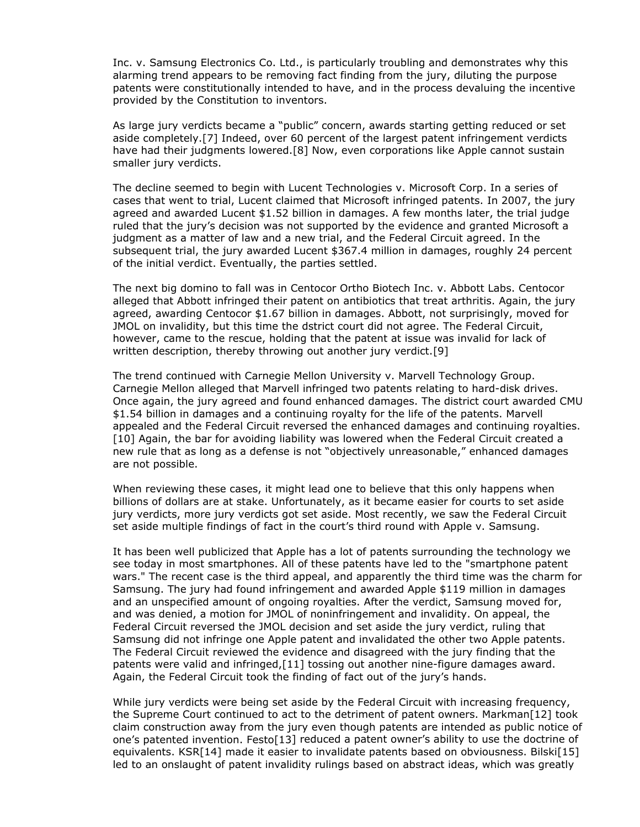Inc. v. Samsung Electronics Co. Ltd., is particularly troubling and demonstrates why this alarming trend appears to be removing fact finding from the jury, diluting the purpose patents were constitutionally intended to have, and in the process devaluing the incentive provided by the Constitution to inventors.

As large jury verdicts became a "public" concern, awards starting getting reduced or set aside completely.[7] Indeed, over 60 percent of the largest patent infringement verdicts have had their judgments lowered.[8] Now, even corporations like Apple cannot sustain smaller jury verdicts.

The decline seemed to begin with Lucent Technologies v. Microsoft Corp. In a series of cases that went to trial, Lucent claimed that Microsoft infringed patents. In 2007, the jury agreed and awarded Lucent \$1.52 billion in damages. A few months later, the trial judge ruled that the jury's decision was not supported by the evidence and granted Microsoft a judgment as a matter of law and a new trial, and the Federal Circuit agreed. In the subsequent trial, the jury awarded Lucent \$367.4 million in damages, roughly 24 percent of the initial verdict. Eventually, the parties settled.

The next big domino to fall was in Centocor Ortho Biotech Inc. v. Abbott Labs. Centocor alleged that Abbott infringed their patent on antibiotics that treat arthritis. Again, the jury agreed, awarding Centocor \$1.67 billion in damages. Abbott, not surprisingly, moved for JMOL on invalidity, but this time the dstrict court did not agree. The Federal Circuit, however, came to the rescue, holding that the patent at issue was invalid for lack of written description, thereby throwing out another jury verdict.[9]

The trend continued with Carnegie Mellon University v. Marvell Technology Group. Carnegie Mellon alleged that Marvell infringed two patents relating to hard-disk drives. Once again, the jury agreed and found enhanced damages. The district court awarded CMU \$1.54 billion in damages and a continuing royalty for the life of the patents. Marvell appealed and the Federal Circuit reversed the enhanced damages and continuing royalties. [10] Again, the bar for avoiding liability was lowered when the Federal Circuit created a new rule that as long as a defense is not "objectively unreasonable," enhanced damages are not possible.

When reviewing these cases, it might lead one to believe that this only happens when billions of dollars are at stake. Unfortunately, as it became easier for courts to set aside jury verdicts, more jury verdicts got set aside. Most recently, we saw the Federal Circuit set aside multiple findings of fact in the court's third round with Apple v. Samsung.

It has been well publicized that Apple has a lot of patents surrounding the technology we see today in most smartphones. All of these patents have led to the "smartphone patent wars." The recent case is the third appeal, and apparently the third time was the charm for Samsung. The jury had found infringement and awarded Apple \$119 million in damages and an unspecified amount of ongoing royalties. After the verdict, Samsung moved for, and was denied, a motion for JMOL of noninfringement and invalidity. On appeal, the Federal Circuit reversed the JMOL decision and set aside the jury verdict, ruling that Samsung did not infringe one Apple patent and invalidated the other two Apple patents. The Federal Circuit reviewed the evidence and disagreed with the jury finding that the patents were valid and infringed,[11] tossing out another nine-figure damages award. Again, the Federal Circuit took the finding of fact out of the jury's hands.

While jury verdicts were being set aside by the Federal Circuit with increasing frequency, the Supreme Court continued to act to the detriment of patent owners. Markman[12] took claim construction away from the jury even though patents are intended as public notice of one's patented invention. Festo[13] reduced a patent owner's ability to use the doctrine of equivalents. KSR[14] made it easier to invalidate patents based on obviousness. Bilski[15] led to an onslaught of patent invalidity rulings based on abstract ideas, which was greatly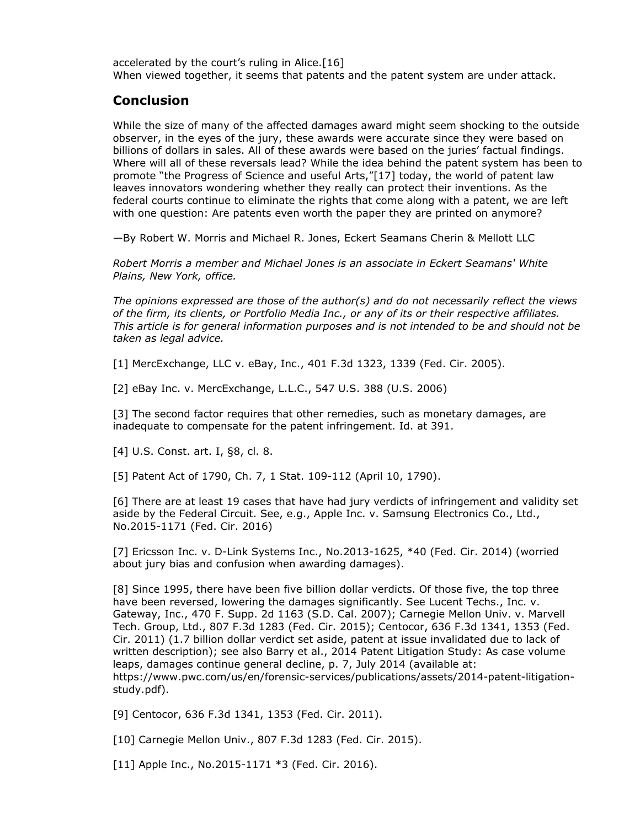accelerated by the court's ruling in Alice.[16] When viewed together, it seems that patents and the patent system are under attack.

## **Conclusion**

While the size of many of the affected damages award might seem shocking to the outside observer, in the eyes of the jury, these awards were accurate since they were based on billions of dollars in sales. All of these awards were based on the juries' factual findings. Where will all of these reversals lead? While the idea behind the patent system has been to promote "the Progress of Science and useful Arts,"[17] today, the world of patent law leaves innovators wondering whether they really can protect their inventions. As the federal courts continue to eliminate the rights that come along with a patent, we are left with one question: Are patents even worth the paper they are printed on anymore?

—By Robert W. Morris and Michael R. Jones, Eckert Seamans Cherin & Mellott LLC

*Robert Morris a member and Michael Jones is an associate in Eckert Seamans' White Plains, New York, office.*

*The opinions expressed are those of the author(s) and do not necessarily reflect the views of the firm, its clients, or Portfolio Media Inc., or any of its or their respective affiliates. This article is for general information purposes and is not intended to be and should not be taken as legal advice.*

[1] MercExchange, LLC v. eBay, Inc., 401 F.3d 1323, 1339 (Fed. Cir. 2005).

[2] eBay Inc. v. MercExchange, L.L.C., 547 U.S. 388 (U.S. 2006)

[3] The second factor requires that other remedies, such as monetary damages, are inadequate to compensate for the patent infringement. Id. at 391.

[4] U.S. Const. art. I, §8, cl. 8.

[5] Patent Act of 1790, Ch. 7, 1 Stat. 109-112 (April 10, 1790).

[6] There are at least 19 cases that have had jury verdicts of infringement and validity set aside by the Federal Circuit. See, e.g., Apple Inc. v. Samsung Electronics Co., Ltd., No.2015-1171 (Fed. Cir. 2016)

[7] Ericsson Inc. v. D-Link Systems Inc., No.2013-1625, \*40 (Fed. Cir. 2014) (worried about jury bias and confusion when awarding damages).

[8] Since 1995, there have been five billion dollar verdicts. Of those five, the top three have been reversed, lowering the damages significantly. See Lucent Techs., Inc. v. Gateway, Inc., 470 F. Supp. 2d 1163 (S.D. Cal. 2007); Carnegie Mellon Univ. v. Marvell Tech. Group, Ltd., 807 F.3d 1283 (Fed. Cir. 2015); Centocor, 636 F.3d 1341, 1353 (Fed. Cir. 2011) (1.7 billion dollar verdict set aside, patent at issue invalidated due to lack of written description); see also Barry et al., 2014 Patent Litigation Study: As case volume leaps, damages continue general decline, p. 7, July 2014 (available at: https://www.pwc.com/us/en/forensic-services/publications/assets/2014-patent-litigationstudy.pdf).

[9] Centocor, 636 F.3d 1341, 1353 (Fed. Cir. 2011).

[10] Carnegie Mellon Univ., 807 F.3d 1283 (Fed. Cir. 2015).

[11] Apple Inc., No.2015-1171 \*3 (Fed. Cir. 2016).